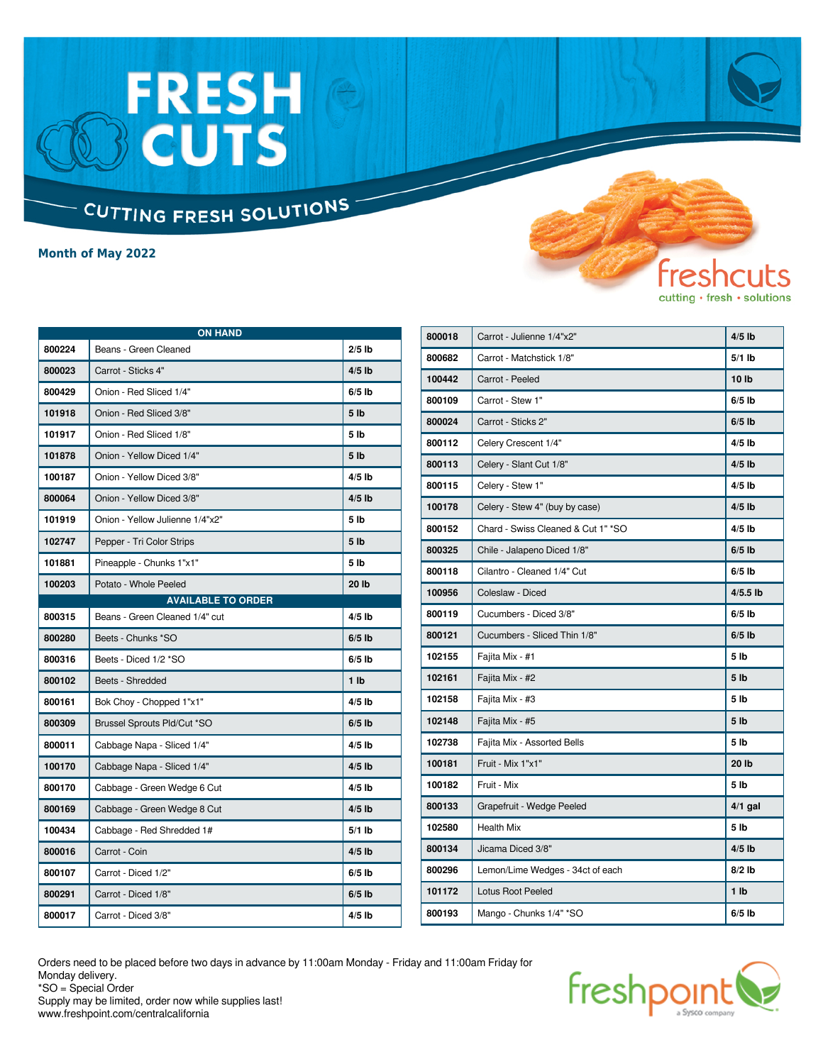### FRESH<br>BCUTS CUTTING FRESH SOLUTIONS

**Month of May 2022**

| <b>ON HAND</b> |                                 |                 |
|----------------|---------------------------------|-----------------|
| 800224         | Beans - Green Cleaned           | $2/5$ lb        |
| 800023         | Carrot - Sticks 4"              | $4/5$ lb        |
| 800429         | Onion - Red Sliced 1/4"         | $6/5$ lb        |
| 101918         | Onion - Red Sliced 3/8"         | 5 <sub>1b</sub> |
| 101917         | Onion - Red Sliced 1/8"         | 5 lb            |
| 101878         | Onion - Yellow Diced 1/4"       | 5 <sub>1b</sub> |
| 100187         | Onion - Yellow Diced 3/8"       | $4/5$ lb        |
| 800064         | Onion - Yellow Diced 3/8"       | $4/5$ lb        |
| 101919         | Onion - Yellow Julienne 1/4"x2" | 5 <sub>lb</sub> |
| 102747         | Pepper - Tri Color Strips       | 5 <sub>1b</sub> |
| 101881         | Pineapple - Chunks 1"x1"        | 5 lb            |
| 100203         | Potato - Whole Peeled           | 20 lb           |
|                | <b>AVAILABLE TO ORDER</b>       |                 |
| 800315         | Beans - Green Cleaned 1/4" cut  | $4/5$ lb        |
| 800280         | Beets - Chunks *SO              | $6/5$ lb        |
| 800316         | Beets - Diced 1/2 *SO           | $6/5$ lb        |
| 800102         | Beets - Shredded                | 1 <sub>1</sub>  |
| 800161         | Bok Choy - Chopped 1"x1"        | $4/5$ lb        |
| 800309         | Brussel Sprouts Pld/Cut *SO     | $6/5$ lb        |
| 800011         | Cabbage Napa - Sliced 1/4"      | $4/5$ lb        |
| 100170         | Cabbage Napa - Sliced 1/4"      | $4/5$ lb        |
| 800170         | Cabbage - Green Wedge 6 Cut     | $4/5$ lb        |
| 800169         | Cabbage - Green Wedge 8 Cut     | $4/5$ lb        |
| 100434         | Cabbage - Red Shredded 1#       | $5/1$ lb        |
| 800016         | Carrot - Coin                   | $4/5$ lb        |
| 800107         | Carrot - Diced 1/2"             | $6/5$ lb        |
| 800291         | Carrot - Diced 1/8"             | $6/5$ lb        |
| 800017         | Carrot - Diced 3/8"             | $4/5$ lb        |

| 800018 | Carrot - Julienne 1/4"x2"          | $4/5$ lb        |
|--------|------------------------------------|-----------------|
| 800682 | Carrot - Matchstick 1/8"           | $5/1$ lb        |
| 100442 | Carrot - Peeled                    | 10 lb           |
| 800109 | Carrot - Stew 1"                   | $6/5$ lb        |
| 800024 | Carrot - Sticks 2"                 | $6/5$ lb        |
| 800112 | Celery Crescent 1/4"               | $4/5$ lb        |
| 800113 | Celery - Slant Cut 1/8"            | $4/5$ lb        |
| 800115 | Celery - Stew 1"                   | $4/5$ lb        |
| 100178 | Celery - Stew 4" (buy by case)     | $4/5$ lb        |
| 800152 | Chard - Swiss Cleaned & Cut 1" *SO | $4/5$ lb        |
| 800325 | Chile - Jalapeno Diced 1/8"        | $6/5$ lb        |
| 800118 | Cilantro - Cleaned 1/4" Cut        | $6/5$ lb        |
| 100956 | Coleslaw - Diced                   | $4/5.5$ lb      |
| 800119 | Cucumbers - Diced 3/8"             | $6/5$ lb        |
| 800121 | Cucumbers - Sliced Thin 1/8"       | $6/5$ lb        |
| 102155 | Fajita Mix - #1                    | 5 lb            |
| 102161 | Fajita Mix - #2                    | 5 <sub>1b</sub> |
| 102158 | Fajita Mix - #3                    | 5 <sub>lb</sub> |
| 102148 | Fajita Mix - #5                    | 5 <sub>1b</sub> |
| 102738 | Fajita Mix - Assorted Bells        | 5 lb            |
| 100181 | Fruit - Mix 1"x1"                  | 20 lb           |
| 100182 | Fruit - Mix                        | 5 lb            |
| 800133 | Grapefruit - Wedge Peeled          | $4/1$ gal       |
| 102580 | <b>Health Mix</b>                  | 5 lb            |
| 800134 | Jicama Diced 3/8"                  | $4/5$ lb        |
| 800296 | Lemon/Lime Wedges - 34ct of each   | $8/2$ lb        |
| 101172 | <b>Lotus Root Peeled</b>           | 1 <sub>1</sub>  |
| 800193 | Mango - Chunks 1/4" *SO            | $6/5$ lb        |

fres

cutting · fresh · solutions

Orders need to be placed before two days in advance by 11:00am Monday - Friday and 11:00am Friday for Monday delivery. \*SO = Special Order

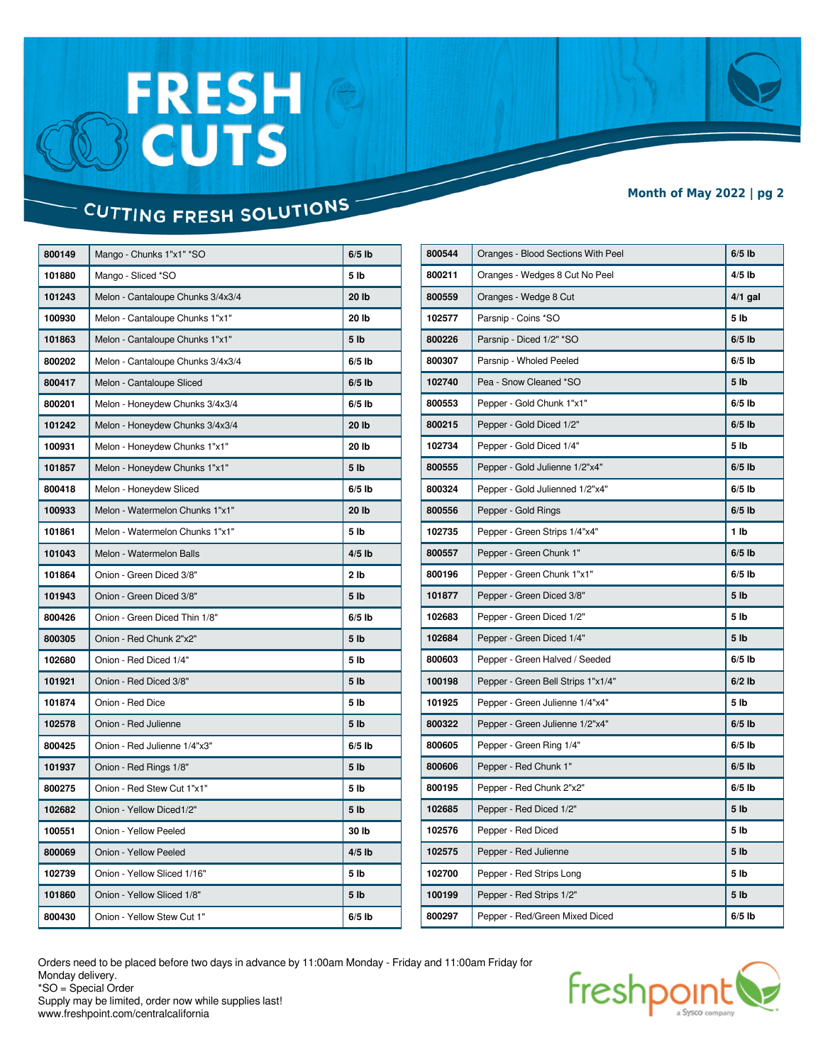# FRESH<br>BCUTS

#### **Month of May 2022 | pg 2**

### CUTTING FRESH SOLUTIONS

| 800149 | Mango - Chunks 1"x1" *SO          | $6/5$ lb        |
|--------|-----------------------------------|-----------------|
| 101880 | Mango - Sliced *SO                | 5 lb            |
| 101243 | Melon - Cantaloupe Chunks 3/4x3/4 | 20 lb           |
| 100930 | Melon - Cantaloupe Chunks 1"x1"   | 20 lb           |
| 101863 | Melon - Cantaloupe Chunks 1"x1"   | 5 lb            |
| 800202 | Melon - Cantaloupe Chunks 3/4x3/4 | $6/5$ lb        |
| 800417 | Melon - Cantaloupe Sliced         | $6/5$ lb        |
| 800201 | Melon - Honeydew Chunks 3/4x3/4   | $6/5$ lb        |
| 101242 | Melon - Honeydew Chunks 3/4x3/4   | 20 lb           |
| 100931 | Melon - Honeydew Chunks 1"x1"     | 20 lb           |
| 101857 | Melon - Honeydew Chunks 1"x1"     | 5 <sub>1b</sub> |
| 800418 | Melon - Honeydew Sliced           | $6/5$ lb        |
| 100933 | Melon - Watermelon Chunks 1"x1"   | 20 lb           |
| 101861 | Melon - Watermelon Chunks 1"x1"   | 5 <sub>lb</sub> |
| 101043 | Melon - Watermelon Balls          | $4/5$ lb        |
| 101864 | Onion - Green Diced 3/8"          | 2 lb            |
| 101943 | Onion - Green Diced 3/8"          | 5 lb            |
| 800426 | Onion - Green Diced Thin 1/8"     | $6/5$ lb        |
| 800305 | Onion - Red Chunk 2"x2"           | 5 <sub>1b</sub> |
| 102680 | Onion - Red Diced 1/4"            | 5 <sub>lb</sub> |
| 101921 | Onion - Red Diced 3/8"            | 5 lb            |
| 101874 | Onion - Red Dice                  | 5 lb            |
| 102578 | Onion - Red Julienne              | 5 <sub>1b</sub> |
| 800425 | Onion - Red Julienne 1/4"x3"      | $6/5$ lb        |
| 101937 | Onion - Red Rings 1/8"            | 5 lb            |
| 800275 | Onion - Red Stew Cut 1"x1"        | 5 lb            |
| 102682 | Onion - Yellow Diced1/2"          | 5 lb            |
| 100551 | Onion - Yellow Peeled             | 30 lb           |
| 800069 | Onion - Yellow Peeled             | $4/5$ lb        |
| 102739 | Onion - Yellow Sliced 1/16"       | 5 lb            |
| 101860 | Onion - Yellow Sliced 1/8"        | 5 <sub>1b</sub> |
| 800430 | Onion - Yellow Stew Cut 1"        | $6/5$ lb        |

| 800544 | Oranges - Blood Sections With Peel | $6/5$ lb        |
|--------|------------------------------------|-----------------|
| 800211 | Oranges - Wedges 8 Cut No Peel     | $4/5$ lb        |
| 800559 | Oranges - Wedge 8 Cut              | $4/1$ gal       |
| 102577 | Parsnip - Coins *SO                | 5 <sub>lb</sub> |
| 800226 | Parsnip - Diced 1/2" *SO           | $6/5$ lb        |
| 800307 | Parsnip - Wholed Peeled            | $6/5$ lb        |
| 102740 | Pea - Snow Cleaned *SO             | 5 <sub>1b</sub> |
| 800553 | Pepper - Gold Chunk 1"x1"          | $6/5$ lb        |
| 800215 | Pepper - Gold Diced 1/2"           | $6/5$ lb        |
| 102734 | Pepper - Gold Diced 1/4"           | 5 <sub>lb</sub> |
| 800555 | Pepper - Gold Julienne 1/2"x4"     | $6/5$ lb        |
| 800324 | Pepper - Gold Julienned 1/2"x4"    | $6/5$ lb        |
| 800556 | Pepper - Gold Rings                | $6/5$ lb        |
| 102735 | Pepper - Green Strips 1/4"x4"      | 1 lb            |
| 800557 | Pepper - Green Chunk 1"            | $6/5$ lb        |
| 800196 | Pepper - Green Chunk 1"x1"         | $6/5$ lb        |
| 101877 | Pepper - Green Diced 3/8"          | 5 <sub>1b</sub> |
| 102683 | Pepper - Green Diced 1/2"          | 5 <sub>1b</sub> |
| 102684 | Pepper - Green Diced 1/4"          | 5 <sub>1b</sub> |
| 800603 | Pepper - Green Halved / Seeded     | $6/5$ lb        |
| 100198 | Pepper - Green Bell Strips 1"x1/4" | $6/2$ lb        |
| 101925 | Pepper - Green Julienne 1/4"x4"    | 5 <sub>1b</sub> |
| 800322 | Pepper - Green Julienne 1/2"x4"    | $6/5$ lb        |
| 800605 | Pepper - Green Ring 1/4"           | $6/5$ lb        |
| 800606 | Pepper - Red Chunk 1"              | $6/5$ lb        |
| 800195 | Pepper - Red Chunk 2"x2"           | $6/5$ lb        |
| 102685 | Pepper - Red Diced 1/2"            | 5 <sub>1b</sub> |
| 102576 | Pepper - Red Diced                 | 5 lb            |
| 102575 | Pepper - Red Julienne              | 5 <sub>1b</sub> |
| 102700 | Pepper - Red Strips Long           | 5 <sub>lb</sub> |
| 100199 | Pepper - Red Strips 1/2"           | 5 lb            |
| 800297 | Pepper - Red/Green Mixed Diced     | $6/5$ lb        |

Orders need to be placed before two days in advance by 11:00am Monday - Friday and 11:00am Friday for Monday delivery. \*SO = Special Order

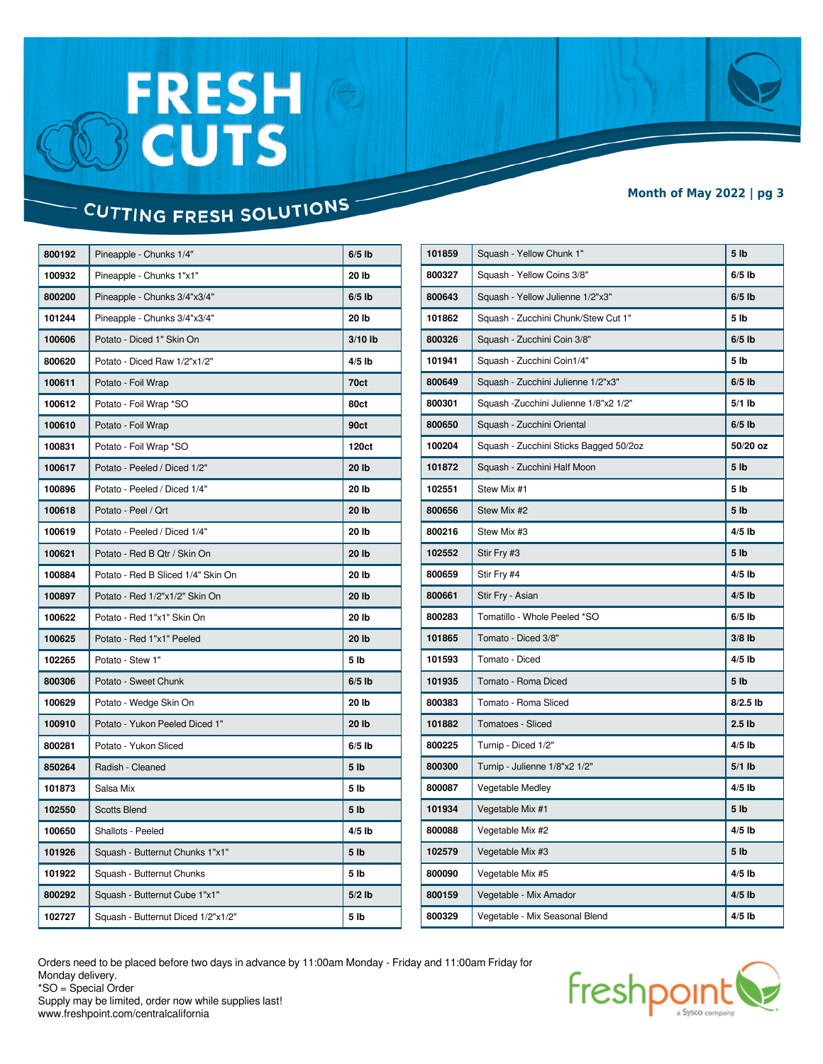# FRESH<br>BCUTS

#### **Month of May 2022 | pg 3**

### CUTTING FRESH SOLUTIONS

| 800192 | Pineapple - Chunks 1/4"            | $6/5$ lb        |
|--------|------------------------------------|-----------------|
| 100932 | Pineapple - Chunks 1"x1"           | 20 lb           |
| 800200 | Pineapple - Chunks 3/4"x3/4"       | $6/5$ lb        |
| 101244 | Pineapple - Chunks 3/4"x3/4"       | 20 lb           |
| 100606 | Potato - Diced 1" Skin On          | $3/10$ lb       |
| 800620 | Potato - Diced Raw 1/2"x1/2"       | $4/5$ lb        |
| 100611 | Potato - Foil Wrap                 | 70ct            |
| 100612 | Potato - Foil Wrap *SO             | 80ct            |
| 100610 | Potato - Foil Wrap                 | 90ct            |
| 100831 | Potato - Foil Wrap *SO             | 120ct           |
| 100617 | Potato - Peeled / Diced 1/2"       | 20 lb           |
| 100896 | Potato - Peeled / Diced 1/4"       | 20 lb           |
| 100618 | Potato - Peel / Qrt                | 20 lb           |
| 100619 | Potato - Peeled / Diced 1/4"       | 20 lb           |
| 100621 | Potato - Red B Qtr / Skin On       | 20 lb           |
| 100884 | Potato - Red B Sliced 1/4" Skin On | 20 lb           |
| 100897 | Potato - Red 1/2"x1/2" Skin On     | 20 lb           |
| 100622 | Potato - Red 1"x1" Skin On         | 20 lb           |
| 100625 | Potato - Red 1"x1" Peeled          | 20 lb           |
| 102265 | Potato - Stew 1"                   | 5 <sub>lb</sub> |
| 800306 | Potato - Sweet Chunk               | $6/5$ lb        |
| 100629 | Potato - Wedge Skin On             | 20 lb           |
| 100910 | Potato - Yukon Peeled Diced 1"     | 20 lb           |
| 800281 | Potato - Yukon Sliced              | $6/5$ lb        |
| 850264 | Radish - Cleaned                   | 5 <sub>1b</sub> |
| 101873 | Salsa Mix                          | 5 <sub>lb</sub> |
| 102550 | <b>Scotts Blend</b>                | 5 <sub>1b</sub> |
| 100650 | Shallots - Peeled                  | $4/5$ lb        |
| 101926 | Squash - Butternut Chunks 1"x1"    | 5 <sub>1b</sub> |
| 101922 | Squash - Butternut Chunks          | 5 <sub>lb</sub> |
| 800292 | Squash - Butternut Cube 1"x1"      | $5/2$ lb        |
| 102727 | Squash - Butternut Diced 1/2"x1/2" | 5 <sub>lb</sub> |

| 101859 | Squash - Yellow Chunk 1"               | 5 <sub>1b</sub>   |
|--------|----------------------------------------|-------------------|
| 800327 | Squash - Yellow Coins 3/8"             | $6/5$ lb          |
| 800643 | Squash - Yellow Julienne 1/2"x3"       | $6/5$ lb          |
| 101862 | Squash - Zucchini Chunk/Stew Cut 1"    | 5 <sub>1b</sub>   |
| 800326 | Squash - Zucchini Coin 3/8"            | $6/5$ lb          |
| 101941 | Squash - Zucchini Coin1/4"             | 5 lb              |
| 800649 | Squash - Zucchini Julienne 1/2"x3"     | $6/5$ lb          |
| 800301 | Squash - Zucchini Julienne 1/8"x2 1/2" | $5/1$ lb          |
| 800650 | Squash - Zucchini Oriental             | $6/5$ lb          |
| 100204 | Squash - Zucchini Sticks Bagged 50/2oz | 50/20 oz          |
| 101872 | Squash - Zucchini Half Moon            | 5 <sub>1b</sub>   |
| 102551 | Stew Mix #1                            | 5 lb              |
| 800656 | Stew Mix #2                            | 5 <sub>1b</sub>   |
| 800216 | Stew Mix #3                            | $4/5$ lb          |
| 102552 | Stir Fry #3                            | 5 <sub>1b</sub>   |
| 800659 | Stir Fry #4                            | $4/5$ lb          |
| 800661 | Stir Fry - Asian                       | $4/5$ lb          |
| 800283 | Tomatillo - Whole Peeled *SO           | $6/5$ lb          |
| 101865 | Tomato - Diced 3/8"                    | $3/8$ lb          |
| 101593 | Tomato - Diced                         | $4/5$ lb          |
| 101935 | Tomato - Roma Diced                    | 5 <sub>1b</sub>   |
| 800383 | Tomato - Roma Sliced                   | $8/2.5$ lb        |
| 101882 | <b>Tomatoes - Sliced</b>               | 2.5 <sub>lb</sub> |
| 800225 | Turnip - Diced 1/2"                    | $4/5$ lb          |
| 800300 | Turnip - Julienne 1/8"x2 1/2"          | $5/1$ lb          |
| 800087 | <b>Vegetable Medley</b>                | $4/5$ lb          |
| 101934 | Vegetable Mix #1                       | 5 <sub>1b</sub>   |
| 800088 | Vegetable Mix #2                       | 4/5 lb            |
| 102579 | Vegetable Mix #3                       | 5 <sub>1b</sub>   |
| 800090 | Vegetable Mix #5                       | $4/5$ lb          |
| 800159 | Vegetable - Mix Amador                 | $4/5$ lb          |
| 800329 | Vegetable - Mix Seasonal Blend         | $4/5$ lb          |

Orders need to be placed before two days in advance by 11:00am Monday - Friday and 11:00am Friday for Monday delivery. \*SO = Special Order